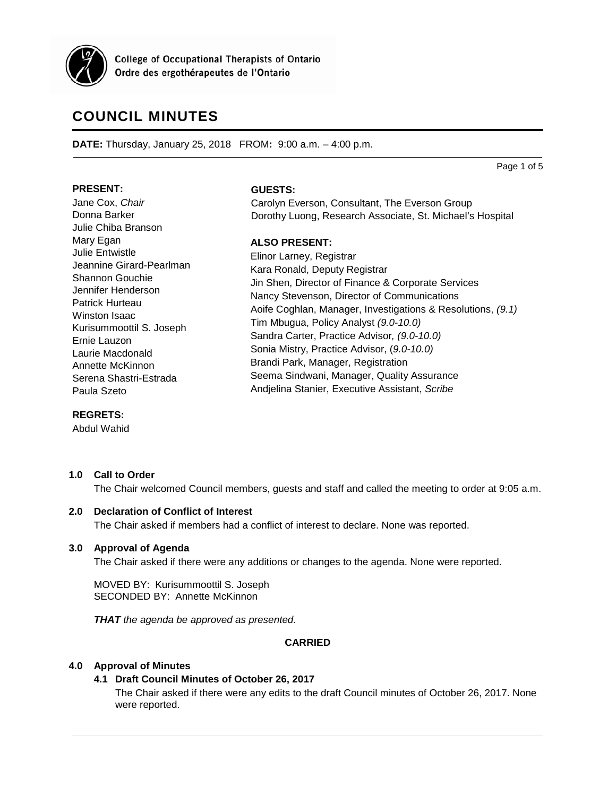

**College of Occupational Therapists of Ontario** Ordre des ergothérapeutes de l'Ontario

# **COUNCIL MINUTES**

**DATE:** Thursday, January 25, 2018 FROM**:** 9:00 a.m. – 4:00 p.m.

#### **PRESENT:**

Jane Cox, *Chair* Donna Barker Julie Chiba Branson Mary Egan Julie Entwistle Jeannine Girard-Pearlman Shannon Gouchie Jennifer Henderson Patrick Hurteau Winston Isaac Kurisummoottil S. Joseph Ernie Lauzon Laurie Macdonald Annette McKinnon Serena Shastri-Estrada Paula Szeto

#### **GUESTS:**

Carolyn Everson, Consultant, The Everson Group Dorothy Luong, Research Associate, St. Michael's Hospital

# **ALSO PRESENT:**

Elinor Larney, Registrar Kara Ronald, Deputy Registrar Jin Shen, Director of Finance & Corporate Services Nancy Stevenson, Director of Communications Aoife Coghlan, Manager, Investigations & Resolutions, *(9.1)* Tim Mbugua, Policy Analyst *(9.0-10.0)* Sandra Carter, Practice Advisor*, (9.0-10.0)* Sonia Mistry, Practice Advisor, (*9.0-10.0)* Brandi Park, Manager, Registration Seema Sindwani, Manager, Quality Assurance Andjelina Stanier, Executive Assistant, *Scribe*

# **REGRETS:**

Abdul Wahid

# **1.0 Call to Order**

The Chair welcomed Council members, guests and staff and called the meeting to order at 9:05 a.m.

# **2.0 Declaration of Conflict of Interest**

The Chair asked if members had a conflict of interest to declare. None was reported.

# **3.0 Approval of Agenda**

The Chair asked if there were any additions or changes to the agenda. None were reported.

MOVED BY: Kurisummoottil S. Joseph SECONDED BY: Annette McKinnon

*THAT the agenda be approved as presented.*

# **CARRIED**

# **4.0 Approval of Minutes**

# **4.1 Draft Council Minutes of October 26, 2017**

The Chair asked if there were any edits to the draft Council minutes of October 26, 2017. None were reported.

Page 1 of 5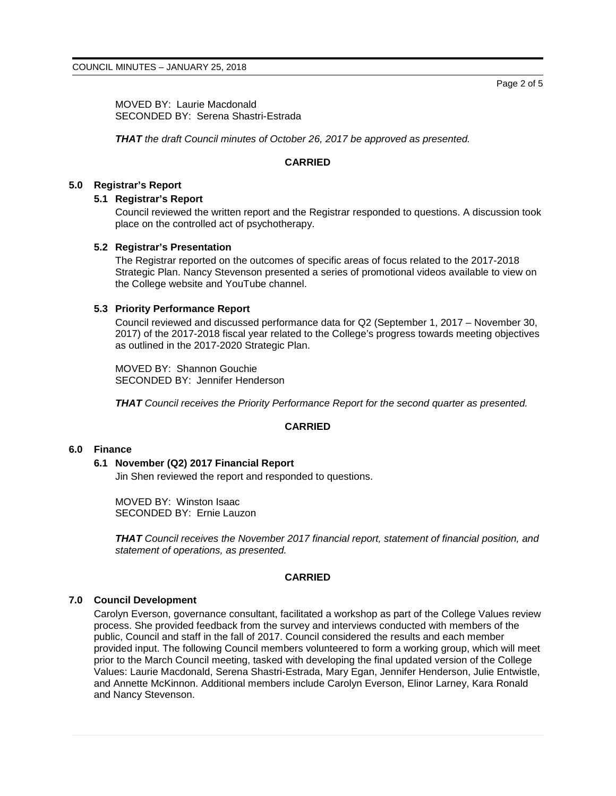MOVED BY: Laurie Macdonald SECONDED BY: Serena Shastri-Estrada

*THAT the draft Council minutes of October 26, 2017 be approved as presented.*

#### **CARRIED**

## **5.0 Registrar's Report**

#### **5.1 Registrar's Report**

Council reviewed the written report and the Registrar responded to questions. A discussion took place on the controlled act of psychotherapy.

#### **5.2 Registrar's Presentation**

The Registrar reported on the outcomes of specific areas of focus related to the 2017-2018 Strategic Plan. Nancy Stevenson presented a series of promotional videos available to view on the College website and YouTube channel.

### **5.3 Priority Performance Report**

Council reviewed and discussed performance data for Q2 (September 1, 2017 – November 30, 2017) of the 2017-2018 fiscal year related to the College's progress towards meeting objectives as outlined in the 2017-2020 Strategic Plan.

MOVED BY: Shannon Gouchie SECONDED BY: Jennifer Henderson

*THAT Council receives the Priority Performance Report for the second quarter as presented.*

# **CARRIED**

## **6.0 Finance**

# **6.1 November (Q2) 2017 Financial Report**

Jin Shen reviewed the report and responded to questions.

MOVED BY: Winston Isaac SECONDED BY: Ernie Lauzon

*THAT Council receives the November 2017 financial report, statement of financial position, and statement of operations, as presented.*

# **CARRIED**

#### **7.0 Council Development**

Carolyn Everson, governance consultant, facilitated a workshop as part of the College Values review process. She provided feedback from the survey and interviews conducted with members of the public, Council and staff in the fall of 2017. Council considered the results and each member provided input. The following Council members volunteered to form a working group, which will meet prior to the March Council meeting, tasked with developing the final updated version of the College Values: Laurie Macdonald, Serena Shastri-Estrada, Mary Egan, Jennifer Henderson, Julie Entwistle, and Annette McKinnon. Additional members include Carolyn Everson, Elinor Larney, Kara Ronald and Nancy Stevenson.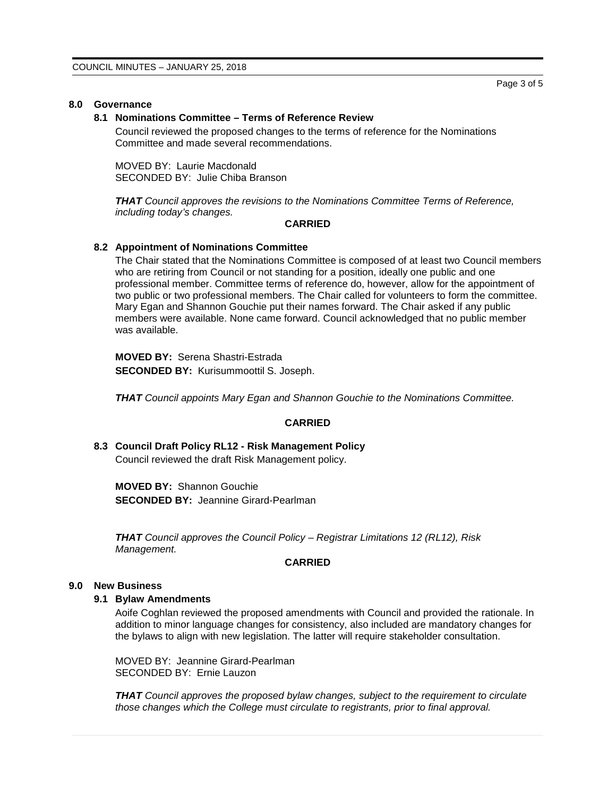# **8.0 Governance**

#### **8.1 Nominations Committee – Terms of Reference Review**

Council reviewed the proposed changes to the terms of reference for the Nominations Committee and made several recommendations.

MOVED BY: Laurie Macdonald SECONDED BY: Julie Chiba Branson

*THAT Council approves the revisions to the Nominations Committee Terms of Reference, including today's changes.*

#### **CARRIED**

# **8.2 Appointment of Nominations Committee**

The Chair stated that the Nominations Committee is composed of at least two Council members who are retiring from Council or not standing for a position, ideally one public and one professional member. Committee terms of reference do, however, allow for the appointment of two public or two professional members. The Chair called for volunteers to form the committee. Mary Egan and Shannon Gouchie put their names forward. The Chair asked if any public members were available. None came forward. Council acknowledged that no public member was available.

**MOVED BY:** Serena Shastri-Estrada **SECONDED BY:** Kurisummoottil S. Joseph.

*THAT Council appoints Mary Egan and Shannon Gouchie to the Nominations Committee.*

# **CARRIED**

**8.3 Council Draft Policy RL12 - Risk Management Policy** Council reviewed the draft Risk Management policy.

**MOVED BY:** Shannon Gouchie **SECONDED BY:** Jeannine Girard-Pearlman

*THAT Council approves the Council Policy – Registrar Limitations 12 (RL12), Risk Management.*

# **CARRIED**

#### **9.0 New Business**

#### **9.1 Bylaw Amendments**

Aoife Coghlan reviewed the proposed amendments with Council and provided the rationale. In addition to minor language changes for consistency, also included are mandatory changes for the bylaws to align with new legislation. The latter will require stakeholder consultation.

MOVED BY: Jeannine Girard-Pearlman SECONDED BY: Ernie Lauzon

*THAT Council approves the proposed bylaw changes, subject to the requirement to circulate those changes which the College must circulate to registrants, prior to final approval.*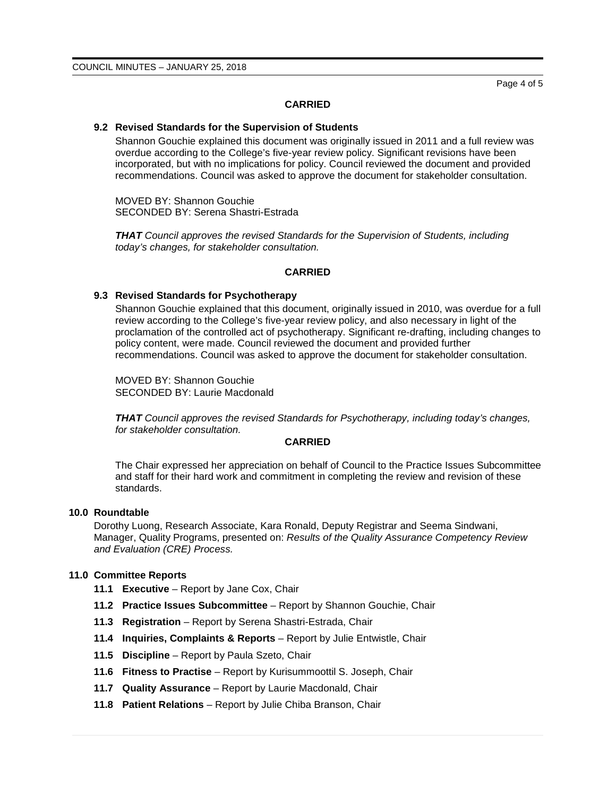Page 4 of 5

#### **CARRIED**

#### **9.2 Revised Standards for the Supervision of Students**

Shannon Gouchie explained this document was originally issued in 2011 and a full review was overdue according to the College's five-year review policy. Significant revisions have been incorporated, but with no implications for policy. Council reviewed the document and provided recommendations. Council was asked to approve the document for stakeholder consultation.

MOVED BY: Shannon Gouchie SECONDED BY: Serena Shastri-Estrada

*THAT Council approves the revised Standards for the Supervision of Students, including today's changes, for stakeholder consultation.*

#### **CARRIED**

#### **9.3 Revised Standards for Psychotherapy**

Shannon Gouchie explained that this document, originally issued in 2010, was overdue for a full review according to the College's five-year review policy, and also necessary in light of the proclamation of the controlled act of psychotherapy. Significant re-drafting, including changes to policy content, were made. Council reviewed the document and provided further recommendations. Council was asked to approve the document for stakeholder consultation.

MOVED BY: Shannon Gouchie SECONDED BY: Laurie Macdonald

*THAT Council approves the revised Standards for Psychotherapy, including today's changes, for stakeholder consultation.*

# **CARRIED**

The Chair expressed her appreciation on behalf of Council to the Practice Issues Subcommittee and staff for their hard work and commitment in completing the review and revision of these standards.

#### **10.0 Roundtable**

Dorothy Luong, Research Associate, Kara Ronald, Deputy Registrar and Seema Sindwani, Manager, Quality Programs, presented on: *Results of the Quality Assurance Competency Review and Evaluation (CRE) Process.*

# **11.0 Committee Reports**

- **11.1 Executive** Report by Jane Cox, Chair
- **11.2 Practice Issues Subcommittee** Report by Shannon Gouchie, Chair
- **11.3 Registration** Report by Serena Shastri-Estrada, Chair
- **11.4 Inquiries, Complaints & Reports** Report by Julie Entwistle, Chair
- **11.5 Discipline**  Report by Paula Szeto, Chair
- **11.6 Fitness to Practise** Report by Kurisummoottil S. Joseph, Chair
- **11.7 Quality Assurance** Report by Laurie Macdonald, Chair
- **11.8 Patient Relations** Report by Julie Chiba Branson, Chair